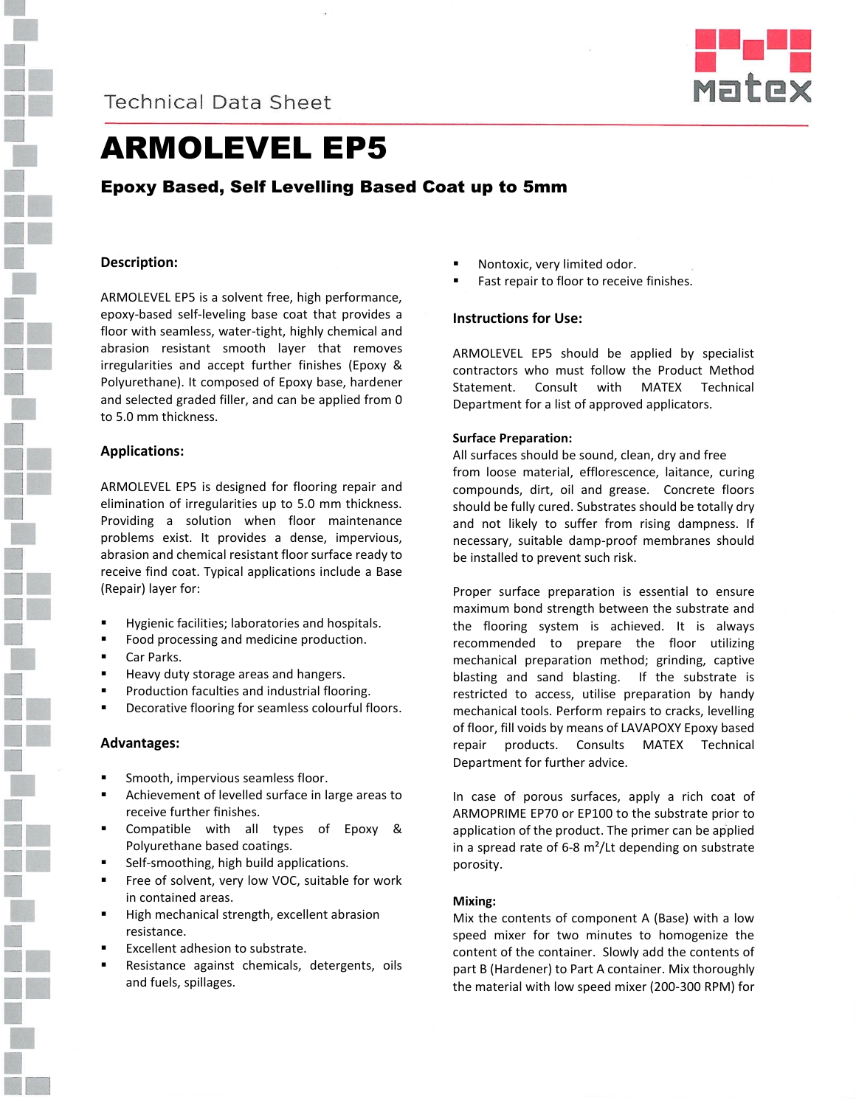



# ARMOLEVEL EP5

# Epoxy Based, Self Levelling Based Coat up to 5mm

### **Description:**

ARMOLEVEL EP5 is a solvent free, high performance, epoxy-based self-leveling base coat that provides a floor with seamless, water-tight, highly chemical and abrasion resistant smooth layer that removes irregularities and accept further finishes (Epoxy & Polyurethane). It composed of Epoxy base, hardener and selected graded filler, and can be applied from 0 to 5.0 mm thickness.

#### **Applications:**

ARMOLEVEL EP5 is designed for flooring repair and elimination of irregularities up to 5.0 mm thickness. Providing a solution when floor maintenance problems exist. It provides a dense, impervious, abrasion and chemical resistant floor surface ready to receive find coat. Typical applications include a Base (Repair) layer for:

- Hygienic facilities; laboratories and hospitals.
- Food processing and medicine production.
- Car Parks.
- **Heavy duty storage areas and hangers.**
- Production faculties and industrial flooring.
- Decorative flooring for seamless colourful floors.

#### **Advantages:**

- **Smooth, impervious seamless floor.**
- Achievement of levelled surface in large areas to receive further finishes.
- Compatible with all types of Epoxy & Polyurethane based coatings.
- Self-smoothing, high build applications.
- Free of solvent, very low VOC, suitable for work in contained areas.
- High mechanical strength, excellent abrasion resistance.
- Excellent adhesion to substrate.
- Resistance against chemicals, detergents, oils and fuels, spillages.
- Nontoxic, very limited odor.
- Fast repair to floor to receive finishes.

### **Instructions for Use:**

ARMOLEVEL EP5 should be applied by specialist contractors who must follow the Product Method Statement. Consult with MATEX Technical Department for a list of approved applicators.

#### **Surface Preparation:**

All surfaces should be sound, clean, dry and free from loose material, efflorescence, laitance, curing compounds, dirt, oil and grease. Concrete floors should be fully cured. Substrates should be totally dry and not likely to suffer from rising dampness. If necessary, suitable damp-proof membranes should be installed to prevent such risk.

Proper surface preparation is essential to ensure maximum bond strength between the substrate and the flooring system is achieved. It is always recommended to prepare the floor utilizing mechanical preparation method; grinding, captive blasting and sand blasting. If the substrate is restricted to access, utilise preparation by handy mechanical tools. Perform repairs to cracks, levelling of floor, fill voids by means of LAVAPOXY Epoxy based repair products. Consults MATEX Technical Department for further advice.

In case of porous surfaces, apply a rich coat of ARMOPRIME EP70 or EP100 to the substrate prior to application of the product. The primer can be applied in a spread rate of 6-8 m²/Lt depending on substrate porosity.

#### **Mixing:**

Mix the contents of component A (Base) with a low speed mixer for two minutes to homogenize the content of the container. Slowly add the contents of part B (Hardener) to Part A container. Mix thoroughly the material with low speed mixer (200-300 RPM) for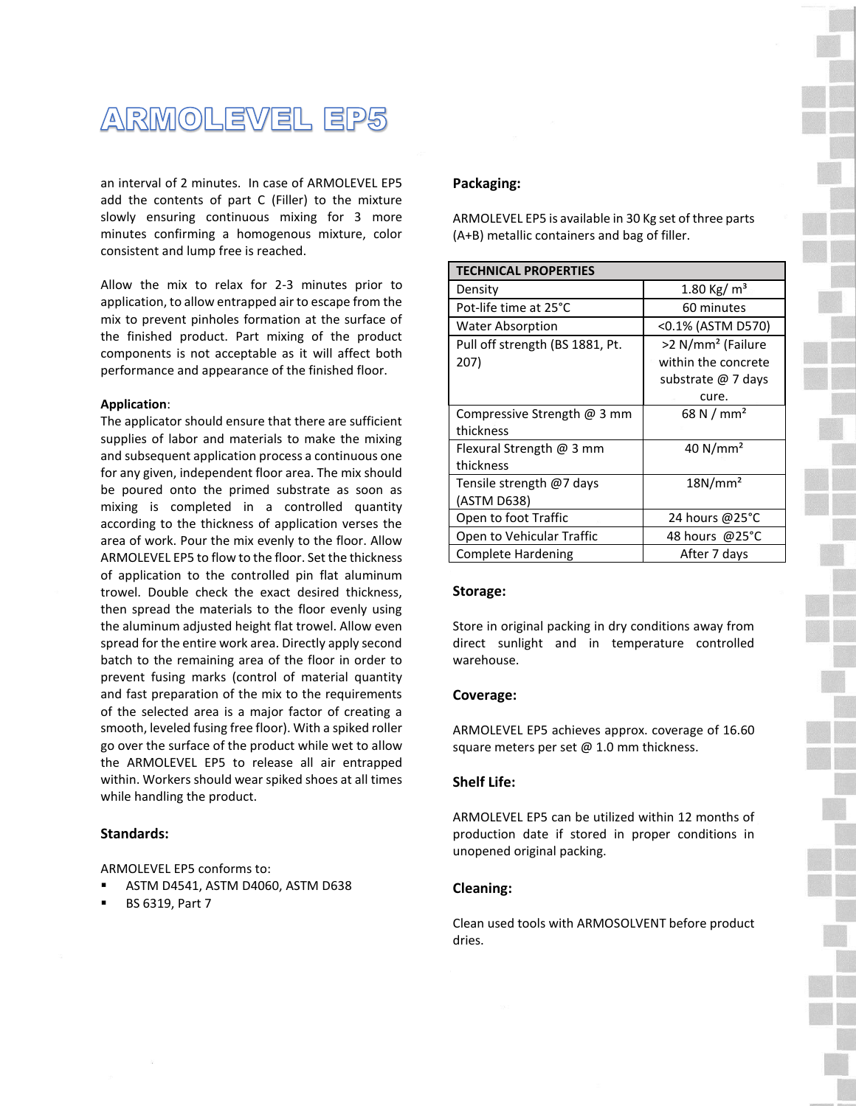

an interval of 2 minutes. In case of ARMOLEVEL EP5 add the contents of part C (Filler) to the mixture slowly ensuring continuous mixing for 3 more minutes confirming a homogenous mixture, color consistent and lump free is reached.

Allow the mix to relax for 2-3 minutes prior to application, to allow entrapped air to escape from the mix to prevent pinholes formation at the surface of the finished product. Part mixing of the product components is not acceptable as it will affect both performance and appearance of the finished floor.

#### **Application**:

The applicator should ensure that there are sufficient supplies of labor and materials to make the mixing and subsequent application process a continuous one for any given, independent floor area. The mix should be poured onto the primed substrate as soon as mixing is completed in a controlled quantity according to the thickness of application verses the area of work. Pour the mix evenly to the floor. Allow ARMOLEVEL EP5 to flow to the floor. Set the thickness of application to the controlled pin flat aluminum trowel. Double check the exact desired thickness, then spread the materials to the floor evenly using the aluminum adjusted height flat trowel. Allow even spread for the entire work area. Directly apply second batch to the remaining area of the floor in order to prevent fusing marks (control of material quantity and fast preparation of the mix to the requirements of the selected area is a major factor of creating a smooth, leveled fusing free floor). With a spiked roller go over the surface of the product while wet to allow the ARMOLEVEL EP5 to release all air entrapped within. Workers should wear spiked shoes at all times while handling the product.

#### **Standards:**

ARMOLEVEL EP5 conforms to:

- ASTM D4541, ASTM D4060, ASTM D638
- BS 6319, Part 7

### **Packaging:**

ARMOLEVEL EP5 is available in 30 Kg set of three parts (A+B) metallic containers and bag of filler.

| <b>TECHNICAL PROPERTIES</b>     |                               |
|---------------------------------|-------------------------------|
| Density                         | 1.80 Kg/ $m3$                 |
| Pot-life time at 25°C           | 60 minutes                    |
| <b>Water Absorption</b>         | <0.1% (ASTM D570)             |
| Pull off strength (BS 1881, Pt. | >2 N/mm <sup>2</sup> (Failure |
| 207)                            | within the concrete           |
|                                 | substrate @ 7 days            |
|                                 | cure.                         |
| Compressive Strength $@$ 3 mm   | 68 N / mm <sup>2</sup>        |
| thickness                       |                               |
| Flexural Strength @ 3 mm        | 40 $N/mm2$                    |
| thickness                       |                               |
| Tensile strength @7 days        | 18N/mm <sup>2</sup>           |
| (ASTM D638)                     |                               |
| Open to foot Traffic            | 24 hours @25°C                |
| Open to Vehicular Traffic       | 48 hours @25°C                |
| <b>Complete Hardening</b>       | After 7 days                  |

#### **Storage:**

Store in original packing in dry conditions away from direct sunlight and in temperature controlled warehouse.

#### **Coverage:**

ARMOLEVEL EP5 achieves approx. coverage of 16.60 square meters per set  $@$  1.0 mm thickness.

#### **Shelf Life:**

ARMOLEVEL EP5 can be utilized within 12 months of production date if stored in proper conditions in unopened original packing.

#### **Cleaning:**

Clean used tools with ARMOSOLVENT before product dries.